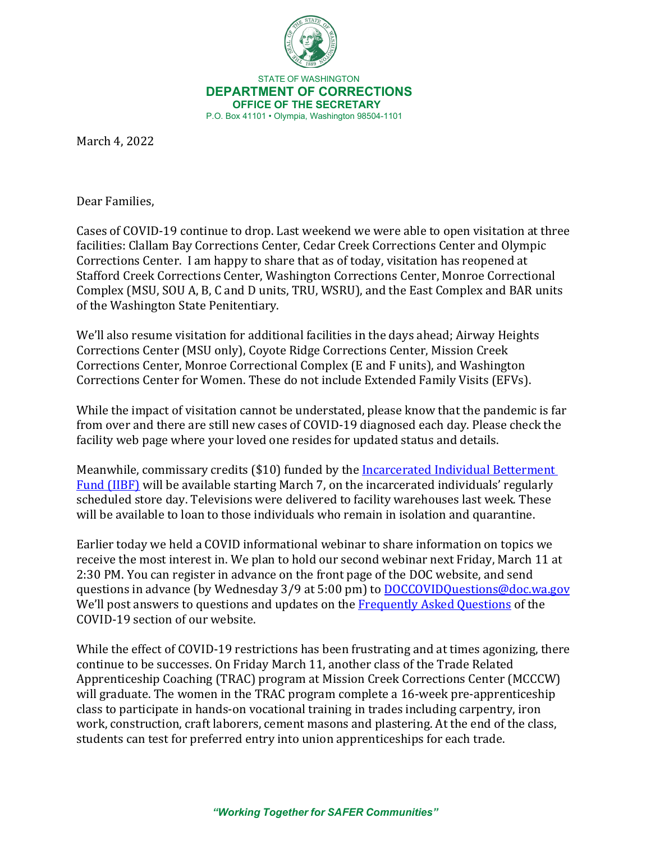

 STATE OF WASHINGTON **DEPARTMENT OF CORRECTIONS OFFICE OF THE SECRETARY** P.O. Box 41101 • Olympia, Washington 98504-1101

March 4, 2022

Dear Families,

Cases of COVID-19 continue to drop. Last weekend we were able to open visitation at three facilities: Clallam Bay Corrections Center, Cedar Creek Corrections Center and Olympic Corrections Center. I am happy to share that as of today, visitation has reopened at Stafford Creek Corrections Center, Washington Corrections Center, Monroe Correctional Complex (MSU, SOU A, B, C and D units, TRU, WSRU), and the East Complex and BAR units of the Washington State Penitentiary.

We'll also resume visitation for additional facilities in the days ahead; Airway Heights Corrections Center (MSU only), Coyote Ridge Corrections Center, Mission Creek Corrections Center, Monroe Correctional Complex (E and F units), and Washington Corrections Center for Women. These do not include Extended Family Visits (EFVs).

While the impact of visitation cannot be understated, please know that the pandemic is far from over and there are still new cases of COVID-19 diagnosed each day. Please check the facility web page where your loved one resides for updated status and details.

Meanwhile, commissary credits (\$10) funded by the [Incarcerated Individual Betterment](https://doc.wa.gov/corrections/covid-19/docs/2022-0128-incarcerated-families-letter-from-the-secretary.pdf)  [Fund \(IIBF\)](https://doc.wa.gov/corrections/covid-19/docs/2022-0128-incarcerated-families-letter-from-the-secretary.pdf) will be available starting March 7, on the incarcerated individuals' regularly scheduled store day. Televisions were delivered to facility warehouses last week. These will be available to loan to those individuals who remain in isolation and quarantine.

Earlier today we held a COVID informational webinar to share information on topics we receive the most interest in. We plan to hold our second webinar next Friday, March 11 at 2:30 PM. You can register in advance on the front page of the DOC website, and send questions in advance (by Wednesday 3/9 at 5:00 pm) to [DOCCOVIDQuestions@doc.wa.gov](mailto:DOCCOVIDQuestions@doc.wa.gov)  We'll post answers to questions and updates on the [Frequently Asked Questions](https://doc.wa.gov/corrections/covid-19/faq.htm) of the COVID-19 section of our website.

While the effect of COVID-19 restrictions has been frustrating and at times agonizing, there continue to be successes. On Friday March 11, another class of the Trade Related Apprenticeship Coaching (TRAC) program at Mission Creek Corrections Center (MCCCW) will graduate. The women in the TRAC program complete a 16-week pre-apprenticeship class to participate in hands-on vocational training in trades including carpentry, iron work, construction, craft laborers, cement masons and plastering. At the end of the class, students can test for preferred entry into union apprenticeships for each trade.